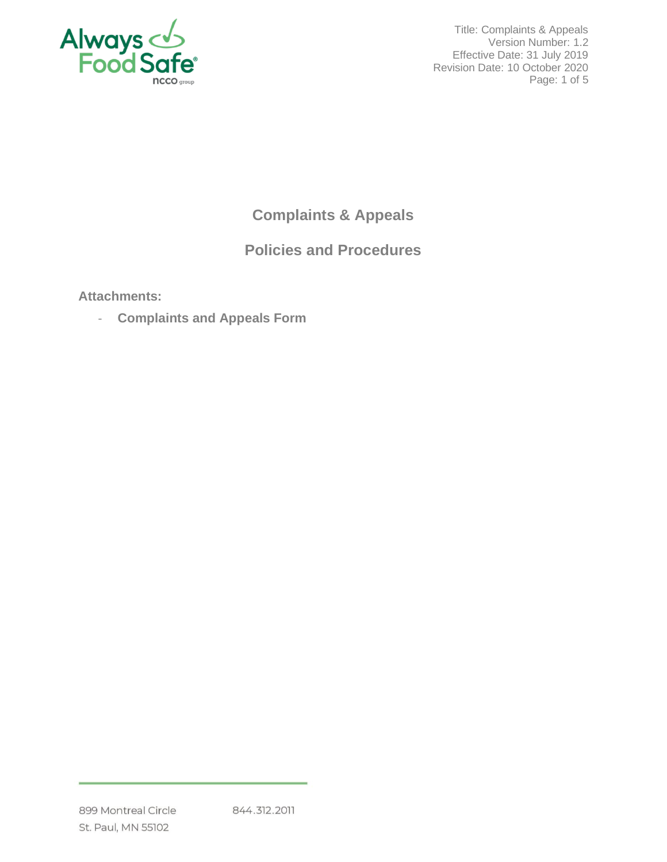

Title: Complaints & Appeals Version Number: 1.2 Effective Date: 31 July 2019 Revision Date: 10 October 2020 Page: 1 of 5

# **Complaints & Appeals**

# **Policies and Procedures**

**Attachments:**

- **Complaints and Appeals Form**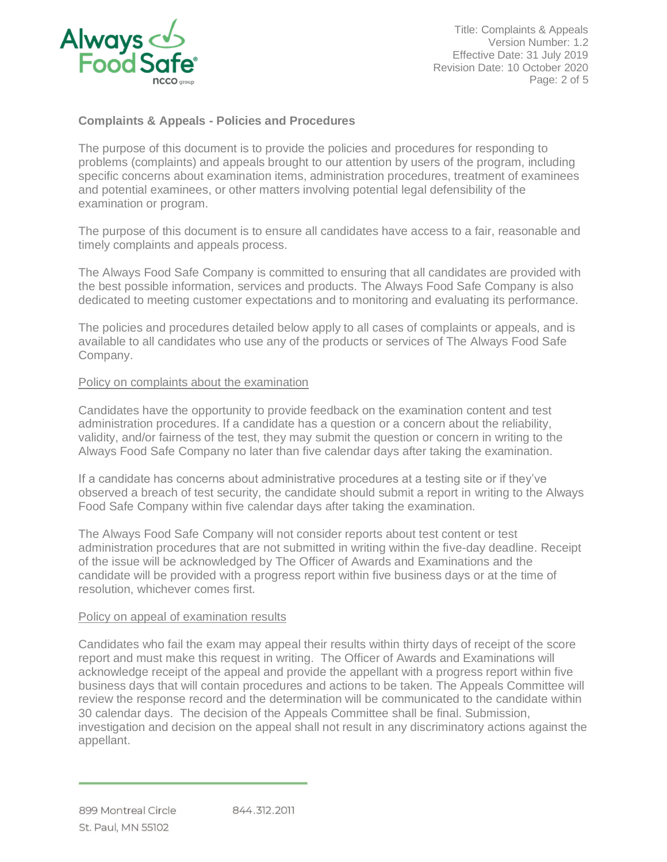

Title: Complaints & Appeals Version Number: 1.2 Effective Date: 31 July 2019 Revision Date: 10 October 2020 Page: 2 of 5

# **Complaints & Appeals - Policies and Procedures**

The purpose of this document is to provide the policies and procedures for responding to problems (complaints) and appeals brought to our attention by users of the program, including specific concerns about examination items, administration procedures, treatment of examinees and potential examinees, or other matters involving potential legal defensibility of the examination or program.

The purpose of this document is to ensure all candidates have access to a fair, reasonable and timely complaints and appeals process.

The Always Food Safe Company is committed to ensuring that all candidates are provided with the best possible information, services and products. The Always Food Safe Company is also dedicated to meeting customer expectations and to monitoring and evaluating its performance.

The policies and procedures detailed below apply to all cases of complaints or appeals, and is available to all candidates who use any of the products or services of The Always Food Safe Company.

#### Policy on complaints about the examination

Candidates have the opportunity to provide feedback on the examination content and test administration procedures. If a candidate has a question or a concern about the reliability, validity, and/or fairness of the test, they may submit the question or concern in writing to the Always Food Safe Company no later than five calendar days after taking the examination.

If a candidate has concerns about administrative procedures at a testing site or if they've observed a breach of test security, the candidate should submit a report in writing to the Always Food Safe Company within five calendar days after taking the examination.

The Always Food Safe Company will not consider reports about test content or test administration procedures that are not submitted in writing within the five-day deadline. Receipt of the issue will be acknowledged by The Officer of Awards and Examinations and the candidate will be provided with a progress report within five business days or at the time of resolution, whichever comes first.

#### Policy on appeal of examination results

Candidates who fail the exam may appeal their results within thirty days of receipt of the score report and must make this request in writing. The Officer of Awards and Examinations will acknowledge receipt of the appeal and provide the appellant with a progress report within five business days that will contain procedures and actions to be taken. The Appeals Committee will review the response record and the determination will be communicated to the candidate within 30 calendar days. The decision of the Appeals Committee shall be final. Submission, investigation and decision on the appeal shall not result in any discriminatory actions against the appellant.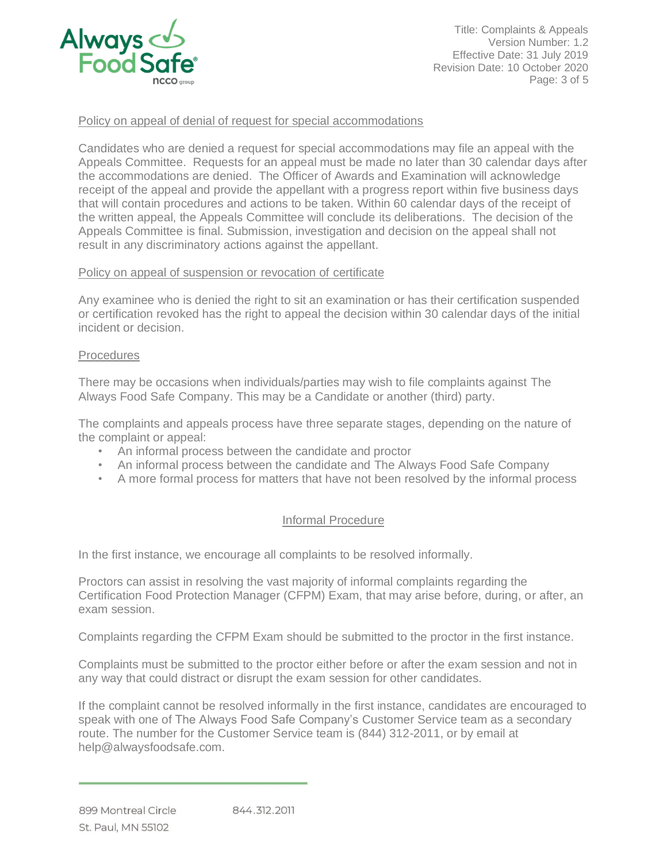

Title: Complaints & Appeals Version Number: 1.2 Effective Date: 31 July 2019 Revision Date: 10 October 2020 Page: 3 of 5

### Policy on appeal of denial of request for special accommodations

Candidates who are denied a request for special accommodations may file an appeal with the Appeals Committee. Requests for an appeal must be made no later than 30 calendar days after the accommodations are denied. The Officer of Awards and Examination will acknowledge receipt of the appeal and provide the appellant with a progress report within five business days that will contain procedures and actions to be taken. Within 60 calendar days of the receipt of the written appeal, the Appeals Committee will conclude its deliberations. The decision of the Appeals Committee is final. Submission, investigation and decision on the appeal shall not result in any discriminatory actions against the appellant.

#### Policy on appeal of suspension or revocation of certificate

Any examinee who is denied the right to sit an examination or has their certification suspended or certification revoked has the right to appeal the decision within 30 calendar days of the initial incident or decision.

#### **Procedures**

There may be occasions when individuals/parties may wish to file complaints against The Always Food Safe Company. This may be a Candidate or another (third) party.

The complaints and appeals process have three separate stages, depending on the nature of the complaint or appeal:

- An informal process between the candidate and proctor
- An informal process between the candidate and The Always Food Safe Company
- A more formal process for matters that have not been resolved by the informal process

#### Informal Procedure

In the first instance, we encourage all complaints to be resolved informally.

Proctors can assist in resolving the vast majority of informal complaints regarding the Certification Food Protection Manager (CFPM) Exam, that may arise before, during, or after, an exam session.

Complaints regarding the CFPM Exam should be submitted to the proctor in the first instance.

Complaints must be submitted to the proctor either before or after the exam session and not in any way that could distract or disrupt the exam session for other candidates.

If the complaint cannot be resolved informally in the first instance, candidates are encouraged to speak with one of The Always Food Safe Company's Customer Service team as a secondary route. The number for the Customer Service team is (844) 312-2011, or by email at help@alwaysfoodsafe.com.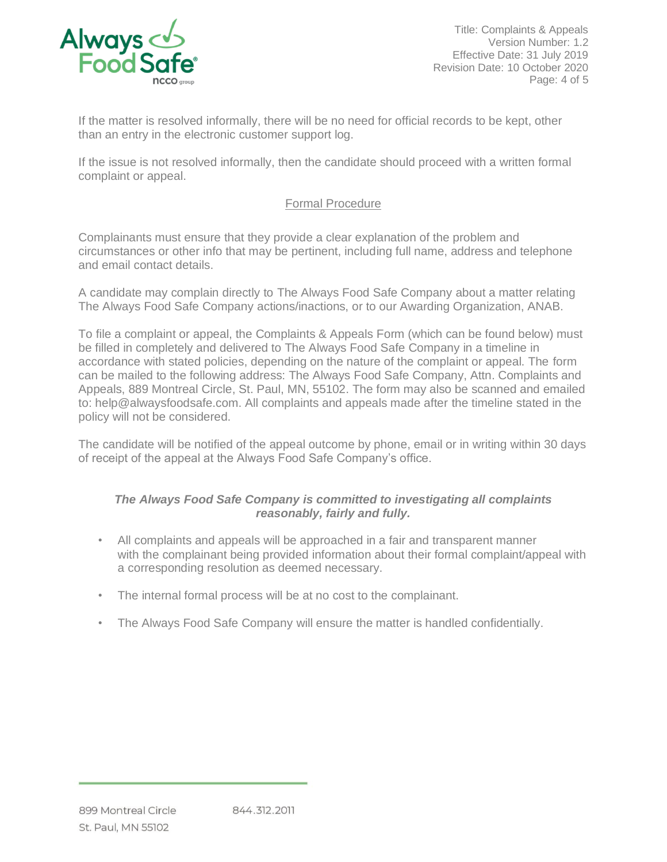

Title: Complaints & Appeals Version Number: 1.2 Effective Date: 31 July 2019 Revision Date: 10 October 2020 Page: 4 of 5

If the matter is resolved informally, there will be no need for official records to be kept, other than an entry in the electronic customer support log.

If the issue is not resolved informally, then the candidate should proceed with a written formal complaint or appeal.

## Formal Procedure

Complainants must ensure that they provide a clear explanation of the problem and circumstances or other info that may be pertinent, including full name, address and telephone and email contact details.

A candidate may complain directly to The Always Food Safe Company about a matter relating The Always Food Safe Company actions/inactions, or to our Awarding Organization, ANAB.

To file a complaint or appeal, the Complaints & Appeals Form (which can be found below) must be filled in completely and delivered to The Always Food Safe Company in a timeline in accordance with stated policies, depending on the nature of the complaint or appeal. The form can be mailed to the following address: The Always Food Safe Company, Attn. Complaints and Appeals, 889 Montreal Circle, St. Paul, MN, 55102. The form may also be scanned and emailed to: help@alwaysfoodsafe.com. All complaints and appeals made after the timeline stated in the policy will not be considered.

The candidate will be notified of the appeal outcome by phone, email or in writing within 30 days of receipt of the appeal at the Always Food Safe Company's office.

## *The Always Food Safe Company is committed to investigating all complaints reasonably, fairly and fully.*

- All complaints and appeals will be approached in a fair and transparent manner with the complainant being provided information about their formal complaint/appeal with a corresponding resolution as deemed necessary.
- The internal formal process will be at no cost to the complainant.
- The Always Food Safe Company will ensure the matter is handled confidentially.